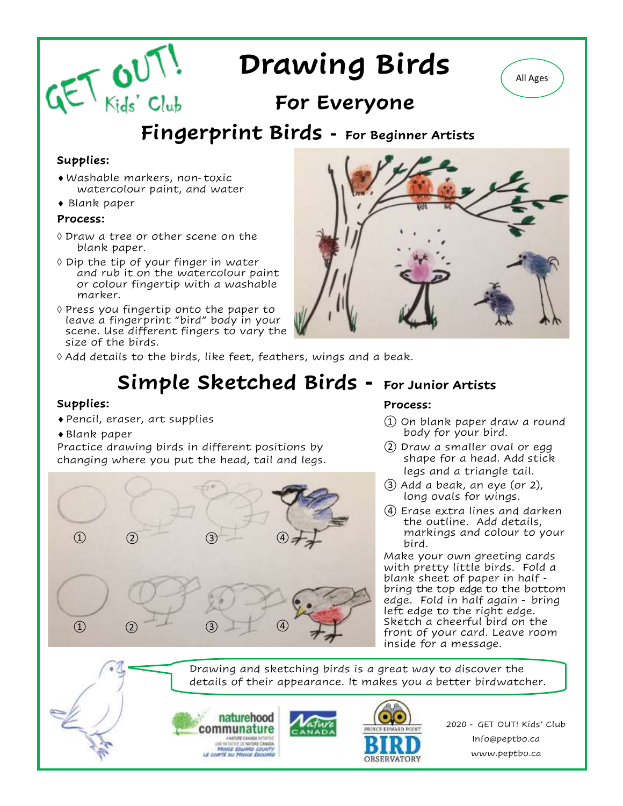# **Drawing Birds**

## **For Everyone**

### **Fingerprint Birds - For Beginner Artists**

### **Supplies:**

- Washable markers, non-toxic watercolour paint, and water
- Blank paper

 $GET$   $GUT$ 

#### **Process:**

- Draw a tree or other scene on the blank paper.
- $\Diamond$  Dip the tip of your finger in water and rub it on the watercolour paint or colour fingertip with a washable marker.
- $\Diamond$  Press you fingertip onto the paper to leave a fingerprint "bird" body in your scene. Use different fingers to vary the size of the birds.



 $\Diamond$  Add details to the birds, like feet, feathers, wings and a beak.

# **Simple Sketched Birds - For Junior Artists**

#### **Supplies:**

- Pencil, eraser, art supplies
- Blank paper

Practice drawing birds in different positions by changing where you put the head, tail and legs.



### **Process:**

- ① On blank paper draw a round body for your bird.
- ② Draw a smaller oval or egg shape for a head. Add stick legs and a triangle tail.
- ③ Add a beak, an eye (or 2), long ovals for wings.
- ④ Erase extra lines and darken the outline. Add details, markings and colour to your bird.

Make your own greeting cards with pretty little birds. Fold a blank sheet of paper in half bring the top edge to the bottom edge. Fold in half again - bring left edge to the right edge. Sketch a cheerful bird on the front of your card. Leave room inside for a message.

Drawing and sketching birds is a great way to discover the details of their appearance. It makes you a better birdwatcher.



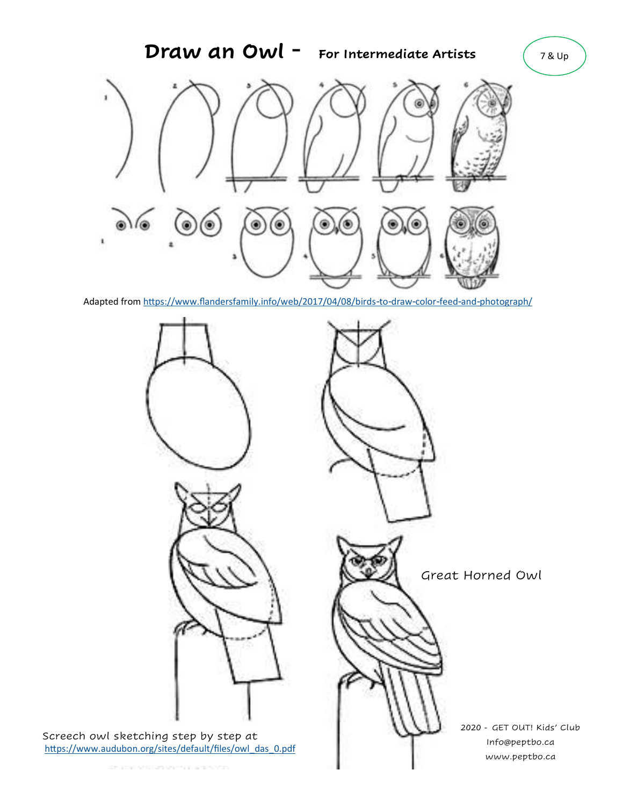

Adapted from <https://www.flandersfamily.info/web/2017/04/08/birds-to-draw-color-feed-and-photograph/>

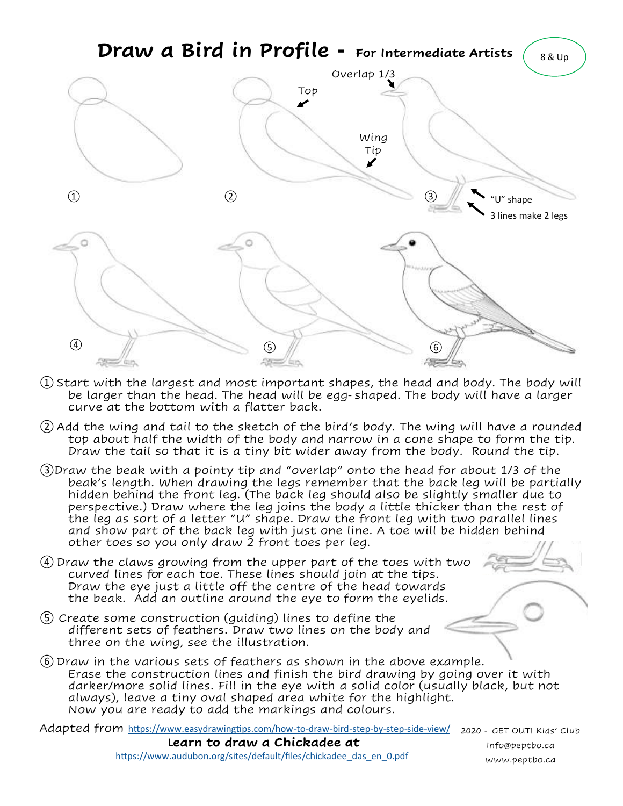

- ① Start with the largest and most important shapes, the head and body. The body will be larger than the head. The head will be egg-shaped. The body will have a larger curve at the bottom with a flatter back.
- ② Add the wing and tail to the sketch of the bird's body. The wing will have a rounded top about half the width of the body and narrow in a cone shape to form the tip. Draw the tail so that it is a tiny bit wider away from the body. Round the tip.
- ③Draw the beak with a pointy tip and "overlap" onto the head for about 1/3 of the beak's length. When drawing the legs remember that the back leg will be partially hidden behind the front leg. (The back leg should also be slightly smaller due to perspective.) Draw where the leg joins the body a little thicker than the rest of the leg as sort of a letter "U" shape. Draw the front leg with two parallel lines and show part of the back leg with just one line. A toe will be hidden behind other toes so you only draw 2 front toes per leg.
- ④ Draw the claws growing from the upper part of the toes with two curved lines for each toe. These lines should join at the tips. Draw the eye just a little off the centre of the head towards the beak. Add an outline around the eye to form the eyelids.
- ⑤ Create some construction (guiding) lines to define the different sets of feathers. Draw two lines on the body and three on the wing, see the illustration.
- ⑥ Draw in the various sets of feathers as shown in the above example. Erase the construction lines and finish the bird drawing by going over it with darker/more solid lines. Fill in the eye with a solid color (usually black, but not always), leave a tiny oval shaped area white for the highlight. Now you are ready to add the markings and colours.

Adapted from <https://www.easydrawingtips.com/how-to-draw-bird-step-by-step-side-view/> 2020 - GET OUT! Kids' Club

 **Learn to draw a Chickadee at**  https://www.audubon.org/sites/default/files/chickadee\_das\_en\_0.pdf Info@peptbo.ca www.peptbo.ca